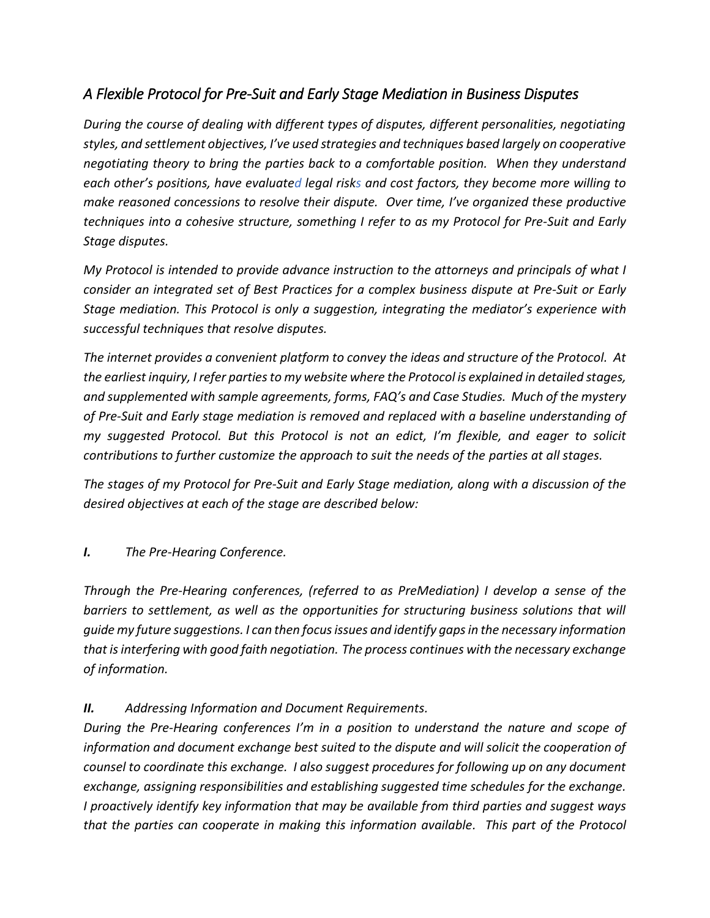# *A Flexible Protocol for Pre-Suit and Early Stage Mediation in Business Disputes*

*During the course of dealing with different types of disputes, different personalities, negotiating styles, and settlement objectives, I've used strategies and techniques based largely on cooperative negotiating theory to bring the parties back to a comfortable position. When they understand each other's positions, have evaluated legal risks and cost factors, they become more willing to make reasoned concessions to resolve their dispute. Over time, I've organized these productive techniques into a cohesive structure, something I refer to as my Protocol for Pre-Suit and Early Stage disputes.*

*My Protocol is intended to provide advance instruction to the attorneys and principals of what I consider an integrated set of Best Practices for a complex business dispute at Pre-Suit or Early Stage mediation. This Protocol is only a suggestion, integrating the mediator's experience with successful techniques that resolve disputes.*

*The internet provides a convenient platform to convey the ideas and structure of the Protocol. At the earliest inquiry, I refer parties to my website where the Protocol is explained in detailed stages, and supplemented with sample agreements, forms, FAQ's and Case Studies. Much of the mystery of Pre-Suit and Early stage mediation is removed and replaced with a baseline understanding of my suggested Protocol. But this Protocol is not an edict, I'm flexible, and eager to solicit contributions to further customize the approach to suit the needs of the parties at all stages.* 

*The stages of my Protocol for Pre-Suit and Early Stage mediation, along with a discussion of the desired objectives at each of the stage are described below:*

# *I. The Pre-Hearing Conference.*

*Through the Pre-Hearing conferences, (referred to as PreMediation) I develop a sense of the barriers to settlement, as well as the opportunities for structuring business solutions that will guide my future suggestions. I can then focus issues and identify gaps in the necessary information that is interfering with good faith negotiation. The process continues with the necessary exchange of information.*

# *II. Addressing Information and Document Requirements.*

*During the Pre-Hearing conferences I'm in a position to understand the nature and scope of information and document exchange best suited to the dispute and will solicit the cooperation of counsel to coordinate this exchange. I also suggest procedures for following up on any document exchange, assigning responsibilities and establishing suggested time schedules for the exchange. I proactively identify key information that may be available from third parties and suggest ways that the parties can cooperate in making this information available. This part of the Protocol*